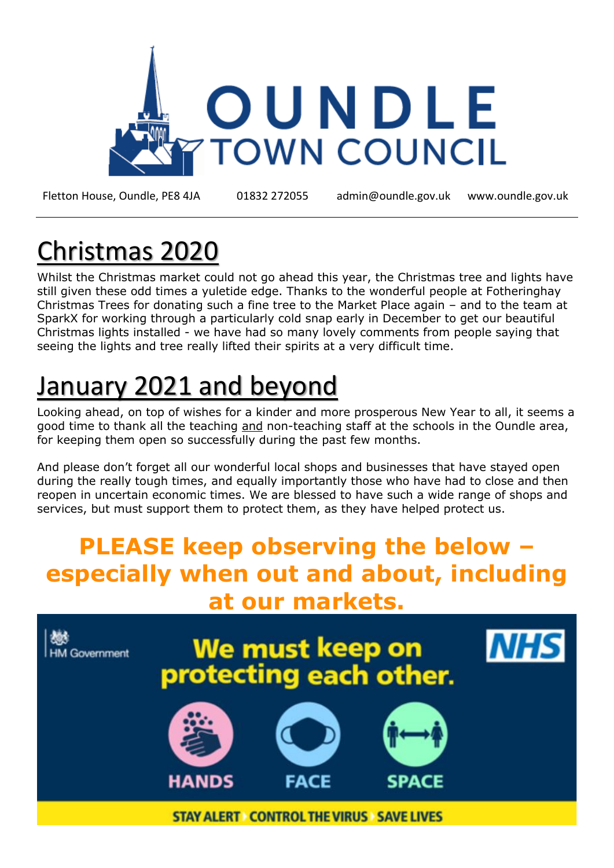

Fletton House, Oundle, PE8 4JA 01832 272055 admin@oundle.gov.uk [www.oundle.gov.uk](http://www.oundle.gov.uk/)

## Christmas 2020

Whilst the Christmas market could not go ahead this year, the Christmas tree and lights have still given these odd times a yuletide edge. Thanks to the wonderful people at Fotheringhay Christmas Trees for donating such a fine tree to the Market Place again – and to the team at SparkX for working through a particularly cold snap early in December to get our beautiful Christmas lights installed - we have had so many lovely comments from people saying that seeing the lights and tree really lifted their spirits at a very difficult time.

# January 2021 and beyond

Looking ahead, on top of wishes for a kinder and more prosperous New Year to all, it seems a good time to thank all the teaching and non-teaching staff at the schools in the Oundle area, for keeping them open so successfully during the past few months.

And please don't forget all our wonderful local shops and businesses that have stayed open during the really tough times, and equally importantly those who have had to close and then reopen in uncertain economic times. We are blessed to have such a wide range of shops and services, but must support them to protect them, as they have helped protect us.

#### **PLEASE keep observing the below – especially when out and about, including at our markets.**

**NHS** We must keep on<br>protecting each other. **HM Government** HANDS FACE SPACE

**STAY ALERT CONTROL THE VIRUS SAVE LIVES**